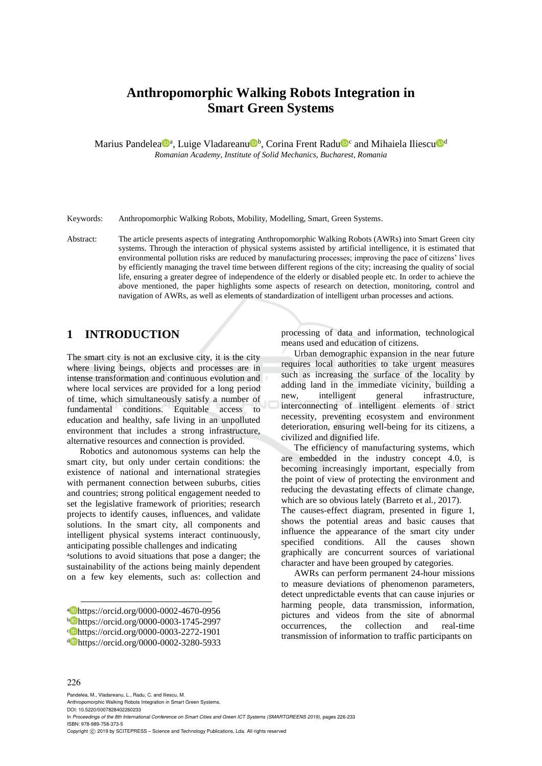# **Anthropomorphic Walking Robots Integration in Smart Green Systems**

Marius Pandelea<sup>n</sup>, Luige Vladareanu<sup>n</sup>b, Corina Frent Radu<sup>n c</sup> and Mihaiela Iliescu<sup>nd</sup> *Romanian Academy, Institute of Solid Mechanics, Bucharest, Romania*

Keywords: Anthropomorphic Walking Robots, Mobility, Modelling, Smart, Green Systems.

Abstract: The article presents aspects of integrating Anthropomorphic Walking Robots (AWRs) into Smart Green city systems. Through the interaction of physical systems assisted by artificial intelligence, it is estimated that environmental pollution risks are reduced by manufacturing processes; improving the pace of citizens' lives by efficiently managing the travel time between different regions of the city; increasing the quality of social life, ensuring a greater degree of independence of the elderly or disabled people etc. In order to achieve the above mentioned, the paper highlights some aspects of research on detection, monitoring, control and navigation of AWRs, as well as elements of standardization of intelligent urban processes and actions.

### **1 INTRODUCTION**

The smart city is not an exclusive city, it is the city where living beings, objects and processes are in intense transformation and continuous evolution and where local services are provided for a long period of time, which simultaneously satisfy a number of fundamental conditions. Equitable access to education and healthy, safe living in an unpolluted environment that includes a strong infrastructure, alternative resources and connection is provided.

Robotics and autonomous systems can help the smart city, but only under certain conditions: the existence of national and international strategies with permanent connection between suburbs, cities and countries; strong political engagement needed to set the legislative framework of priorities; research projects to identify causes, influences, and validate solutions. In the smart city, all components and intelligent physical systems interact continuously, anticipating possible challenges and indicating

a solutions to avoid situations that pose a danger; the sustainability of the actions being mainly dependent on a few key elements, such as: collection and

processing of data and information, technological means used and education of citizens.

Urban demographic expansion in the near future requires local authorities to take urgent measures such as increasing the surface of the locality by adding land in the immediate vicinity, building a new, intelligent general infrastructure, interconnecting of intelligent elements of strict necessity, preventing ecosystem and environment deterioration, ensuring well-being for its citizens, a civilized and dignified life.

The efficiency of manufacturing systems, which are embedded in the industry concept 4.0, is becoming increasingly important, especially from the point of view of protecting the environment and reducing the devastating effects of climate change, which are so obvious lately (Barreto et al., 2017).

The causes-effect diagram, presented in figure 1, shows the potential areas and basic causes that influence the appearance of the smart city under specified conditions. All the causes shown graphically are concurrent sources of variational character and have been grouped by categories.

AWRs can perform permanent 24-hour missions to measure deviations of phenomenon parameters, detect unpredictable events that can cause injuries or harming people, data transmission, information, pictures and videos from the site of abnormal occurrences, the collection and real-time transmission of information to traffic participants on

#### 226

 $\overline{a}$ 

Pandelea, M., Vladareanu, L., Radu, C. and Iliescu, M.

Anthropomorphic Walking Robots Integration in Smart Green Systems. DOI: 10.5220/0007828402260233

In *Proceedings of the 8th International Conference on Smart Cities and Green ICT Systems (SMARTGREENS 2019)*, pages 226-233 ISBN: 978-989-758-373-5

Copyright  $\odot$  2019 by SCITEPRESS - Science and Technology Publications, Lda. All rights reserved

a https://orcid.org/0000-0002-4670-0956 <sup>b</sup> https://orcid.org/0000-0003-1745-2997 c https://orcid.org/0000-0003-2272-1901 <sup>d</sup> https://orcid.org/0000-0002-3280-5933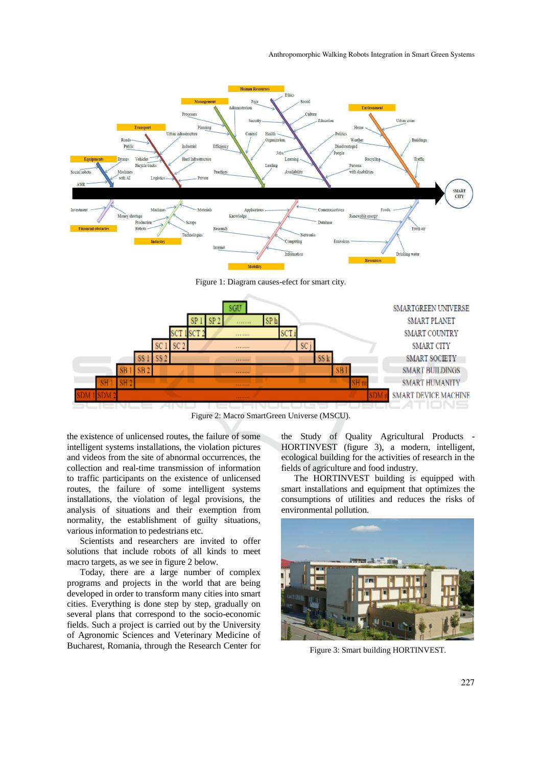

Figure 1: Diagram causes-efect for smart city.



Figure 2: Macro SmartGreen Universe (MSCU).

the existence of unlicensed routes, the failure of some intelligent systems installations, the violation pictures and videos from the site of abnormal occurrences, the collection and real-time transmission of information to traffic participants on the existence of unlicensed routes, the failure of some intelligent systems installations, the violation of legal provisions, the analysis of situations and their exemption from normality, the establishment of guilty situations, various information to pedestrians etc.

Scientists and researchers are invited to offer solutions that include robots of all kinds to meet macro targets, as we see in figure 2 below.

Today, there are a large number of complex programs and projects in the world that are being developed in order to transform many cities into smart cities. Everything is done step by step, gradually on several plans that correspond to the socio-economic fields. Such a project is carried out by the University of Agronomic Sciences and Veterinary Medicine of Bucharest, Romania, through the Research Center for the Study of Quality Agricultural Products - HORTINVEST (figure 3), a modern, intelligent, ecological building for the activities of research in the fields of agriculture and food industry.

The HORTINVEST building is equipped with smart installations and equipment that optimizes the consumptions of utilities and reduces the risks of environmental pollution.



Figure 3: Smart building HORTINVEST.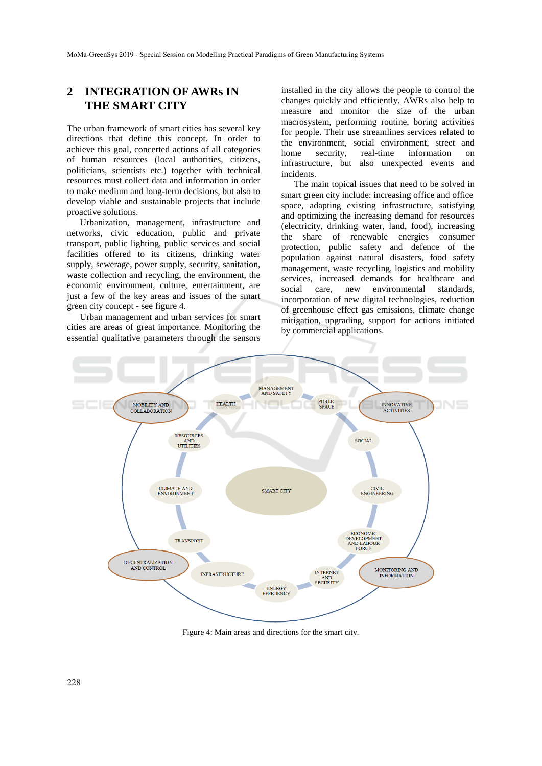## **2 INTEGRATION OF AWRs IN THE SMART CITY**

The urban framework of smart cities has several key directions that define this concept. In order to achieve this goal, concerted actions of all categories of human resources (local authorities, citizens, politicians, scientists etc.) together with technical resources must collect data and information in order to make medium and long-term decisions, but also to develop viable and sustainable projects that include proactive solutions.

Urbanization, management, infrastructure and networks, civic education, public and private transport, public lighting, public services and social facilities offered to its citizens, drinking water supply, sewerage, power supply, security, sanitation, waste collection and recycling, the environment, the economic environment, culture, entertainment, are just a few of the key areas and issues of the smart green city concept - see figure 4.

Urban management and urban services for smart cities are areas of great importance. Monitoring the essential qualitative parameters through the sensors

installed in the city allows the people to control the changes quickly and efficiently. AWRs also help to measure and monitor the size of the urban macrosystem, performing routine, boring activities for people. Their use streamlines services related to the environment, social environment, street and home security, real-time information on infrastructure, but also unexpected events and incidents.

The main topical issues that need to be solved in smart green city include: increasing office and office space, adapting existing infrastructure, satisfying and optimizing the increasing demand for resources (electricity, drinking water, land, food), increasing the share of renewable energies consumer protection, public safety and defence of the population against natural disasters, food safety management, waste recycling, logistics and mobility services, increased demands for healthcare and social care, new environmental standards, incorporation of new digital technologies, reduction of greenhouse effect gas emissions, climate change mitigation, upgrading, support for actions initiated by commercial applications.



Figure 4: Main areas and directions for the smart city.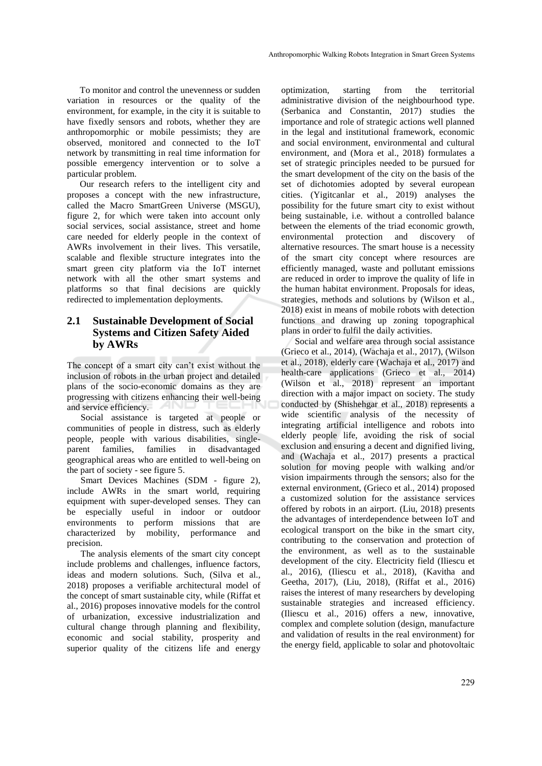To monitor and control the unevenness or sudden variation in resources or the quality of the environment, for example, in the city it is suitable to have fixedly sensors and robots, whether they are anthropomorphic or mobile pessimists; they are observed, monitored and connected to the IoT network by transmitting in real time information for possible emergency intervention or to solve a particular problem.

Our research refers to the intelligent city and proposes a concept with the new infrastructure, called the Macro SmartGreen Universe (MSGU), figure 2, for which were taken into account only social services, social assistance, street and home care needed for elderly people in the context of AWRs involvement in their lives. This versatile, scalable and flexible structure integrates into the smart green city platform via the IoT internet network with all the other smart systems and platforms so that final decisions are quickly redirected to implementation deployments.

### **2.1 Sustainable Development of Social Systems and Citizen Safety Aided by AWRs**

The concept of a smart city can't exist without the inclusion of robots in the urban project and detailed plans of the socio-economic domains as they are progressing with citizens enhancing their well-being and service efficiency.

Social assistance is targeted at people or communities of people in distress, such as elderly people, people with various disabilities, singleparent families, families in disadvantaged geographical areas who are entitled to well-being on the part of society - see figure 5.

Smart Devices Machines (SDM - figure 2), include AWRs in the smart world, requiring equipment with super-developed senses. They can be especially useful in indoor or outdoor environments to perform missions that are characterized by mobility, performance and precision.

The analysis elements of the smart city concept include problems and challenges, influence factors, ideas and modern solutions. Such, (Silva et al., 2018) proposes a verifiable architectural model of the concept of smart sustainable city, while (Riffat et al., 2016) proposes innovative models for the control of urbanization, excessive industrialization and cultural change through planning and flexibility, economic and social stability, prosperity and superior quality of the citizens life and energy

optimization, starting from the territorial administrative division of the neighbourhood type. (Serbanica and Constantin, 2017) studies the importance and role of strategic actions well planned in the legal and institutional framework, economic and social environment, environmental and cultural environment, and (Mora et al., 2018) formulates a set of strategic principles needed to be pursued for the smart development of the city on the basis of the set of dichotomies adopted by several european cities. (Yigitcanlar et al., 2019) analyses the possibility for the future smart city to exist without being sustainable, i.e. without a controlled balance between the elements of the triad economic growth, environmental protection and discovery of alternative resources. The smart house is a necessity of the smart city concept where resources are efficiently managed, waste and pollutant emissions are reduced in order to improve the quality of life in the human habitat environment. Proposals for ideas, strategies, methods and solutions by (Wilson et al., 2018) exist in means of mobile robots with detection functions and drawing up zoning topographical plans in order to fulfil the daily activities.

Social and welfare area through social assistance (Grieco et al., 2014), (Wachaja et al., 2017), (Wilson et al., 2018), elderly care (Wachaja et al., 2017) and health-care applications (Grieco et al., 2014) (Wilson et al., 2018) represent an important direction with a major impact on society. The study conducted by (Shishehgar et al., 2018) represents a wide scientific analysis of the necessity of integrating artificial intelligence and robots into elderly people life, avoiding the risk of social exclusion and ensuring a decent and dignified living, and (Wachaja et al., 2017) presents a practical solution for moving people with walking and/or vision impairments through the sensors; also for the external environment, (Grieco et al., 2014) proposed a customized solution for the assistance services offered by robots in an airport. (Liu, 2018) presents the advantages of interdependence between IoT and ecological transport on the bike in the smart city, contributing to the conservation and protection of the environment, as well as to the sustainable development of the city. Electricity field (Iliescu et al., 2016), (Iliescu et al., 2018), (Kavitha and Geetha, 2017), (Liu, 2018), (Riffat et al., 2016) raises the interest of many researchers by developing sustainable strategies and increased efficiency. (Iliescu et al., 2016) offers a new, innovative, complex and complete solution (design, manufacture and validation of results in the real environment) for the energy field, applicable to solar and photovoltaic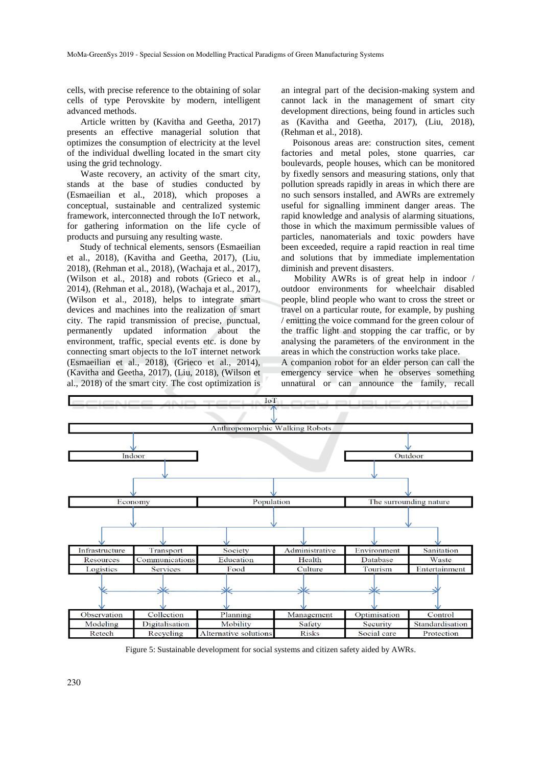cells, with precise reference to the obtaining of solar cells of type Perovskite by modern, intelligent advanced methods.

Article written by (Kavitha and Geetha, 2017) presents an effective managerial solution that optimizes the consumption of electricity at the level of the individual dwelling located in the smart city using the grid technology.

Waste recovery, an activity of the smart city, stands at the base of studies conducted by (Esmaeilian et al., 2018), which proposes a conceptual, sustainable and centralized systemic framework, interconnected through the IoT network, for gathering information on the life cycle of products and pursuing any resulting waste.

Study of technical elements, sensors (Esmaeilian et al., 2018), (Kavitha and Geetha, 2017), (Liu, 2018), (Rehman et al., 2018), (Wachaja et al., 2017), (Wilson et al., 2018) and robots (Grieco et al., 2014), (Rehman et al., 2018), (Wachaja et al., 2017), (Wilson et al., 2018), helps to integrate smart devices and machines into the realization of smart city. The rapid transmission of precise, punctual, permanently updated information about the environment, traffic, special events etc. is done by connecting smart objects to the IoT internet network (Esmaeilian et al., 2018), (Grieco et al., 2014), (Kavitha and Geetha, 2017), (Liu, 2018), (Wilson et al., 2018) of the smart city. The cost optimization is

an integral part of the decision-making system and cannot lack in the management of smart city development directions, being found in articles such as (Kavitha and Geetha, 2017), (Liu, 2018), (Rehman et al., 2018).

 Poisonous areas are: construction sites, cement factories and metal poles, stone quarries, car boulevards, people houses, which can be monitored by fixedly sensors and measuring stations, only that pollution spreads rapidly in areas in which there are no such sensors installed, and AWRs are extremely useful for signalling imminent danger areas. The rapid knowledge and analysis of alarming situations, those in which the maximum permissible values of particles, nanomaterials and toxic powders have been exceeded, require a rapid reaction in real time and solutions that by immediate implementation diminish and prevent disasters.

Mobility AWRs is of great help in indoor / outdoor environments for wheelchair disabled people, blind people who want to cross the street or travel on a particular route, for example, by pushing / emitting the voice command for the green colour of the traffic light and stopping the car traffic, or by analysing the parameters of the environment in the areas in which the construction works take place.

A companion robot for an elder person can call the emergency service when he observes something unnatural or can announce the family, recall



Figure 5: Sustainable development for social systems and citizen safety aided by AWRs.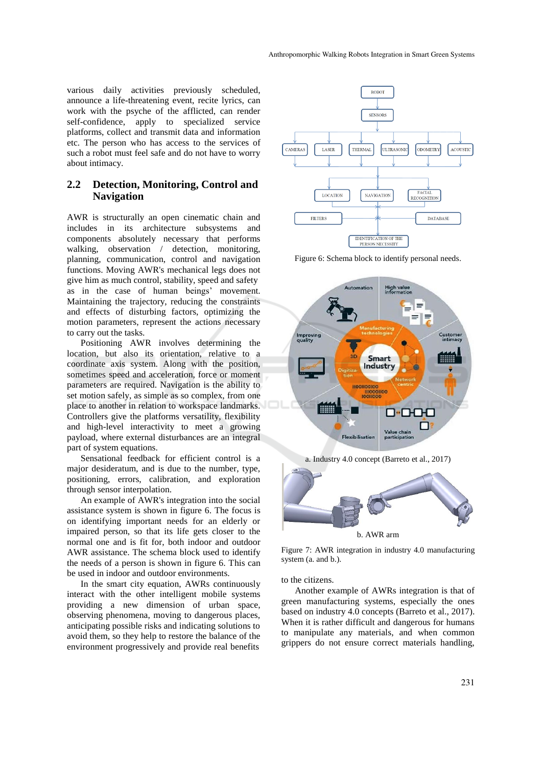various daily activities previously scheduled, announce a life-threatening event, recite lyrics, can work with the psyche of the afflicted, can render self-confidence, apply to specialized service platforms, collect and transmit data and information etc. The person who has access to the services of such a robot must feel safe and do not have to worry about intimacy.

#### **2.2 Detection, Monitoring, Control and Navigation**

AWR is structurally an open cinematic chain and includes in its architecture subsystems and components absolutely necessary that performs walking, observation / detection, monitoring, planning, communication, control and navigation functions. Moving AWR's mechanical legs does not give him as much control, stability, speed and safety as in the case of human beings' movement. Maintaining the trajectory, reducing the constraints and effects of disturbing factors, optimizing the motion parameters, represent the actions necessary to carry out the tasks.

Positioning AWR involves determining the location, but also its orientation, relative to a coordinate axis system. Along with the position, sometimes speed and acceleration, force or moment parameters are required. Navigation is the ability to set motion safely, as simple as so complex, from one place to another in relation to workspace landmarks. Controllers give the platforms versatility, flexibility and high-level interactivity to meet a growing payload, where external disturbances are an integral part of system equations.

Sensational feedback for efficient control is a major desideratum, and is due to the number, type, positioning, errors, calibration, and exploration through sensor interpolation.

An example of AWR's integration into the social assistance system is shown in figure 6. The focus is on identifying important needs for an elderly or impaired person, so that its life gets closer to the normal one and is fit for, both indoor and outdoor AWR assistance. The schema block used to identify the needs of a person is shown in figure 6. This can be used in indoor and outdoor environments.

In the smart city equation, AWRs continuously interact with the other intelligent mobile systems providing a new dimension of urban space, observing phenomena, moving to dangerous places, anticipating possible risks and indicating solutions to avoid them, so they help to restore the balance of the environment progressively and provide real benefits



Figure 6: Schema block to identify personal needs.





Figure 7: AWR integration in industry 4.0 manufacturing system (a. and b.).

#### to the citizens.

Another example of AWRs integration is that of green manufacturing systems, especially the ones based on industry 4.0 concepts (Barreto et al., 2017). When it is rather difficult and dangerous for humans to manipulate any materials, and when common grippers do not ensure correct materials handling,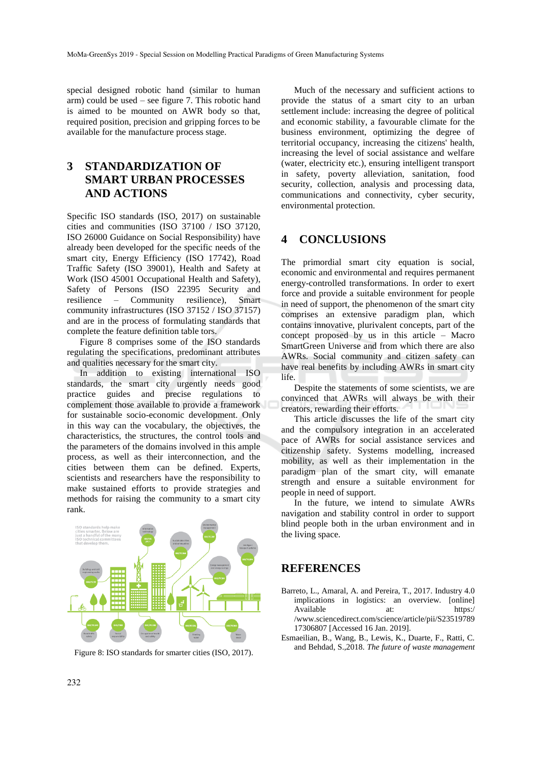special designed robotic hand (similar to human arm) could be used – see figure 7. This robotic hand is aimed to be mounted on AWR body so that, required position, precision and gripping forces to be available for the manufacture process stage.

# **3 STANDARDIZATION OF SMART URBAN PROCESSES AND ACTIONS**

Specific ISO standards (ISO, 2017) on sustainable cities and communities (ISO 37100 / ISO 37120, ISO 26000 Guidance on Social Responsibility) have already been developed for the specific needs of the smart city, Energy Efficiency (ISO 17742), Road Traffic Safety (ISO 39001), Health and Safety at Work (ISO 45001 Occupational Health and Safety), Safety of Persons (ISO 22395 Security and resilience – Community resilience), Smart community infrastructures (ISO 37152 / ISO 37157) and are in the process of formulating standards that complete the feature definition table tors.

Figure 8 comprises some of the ISO standards regulating the specifications, predominant attributes and qualities necessary for the smart city.

In addition to existing international ISO standards, the smart city urgently needs good practice guides and precise regulations to complement those available to provide a framework for sustainable socio-economic development. Only in this way can the vocabulary, the objectives, the characteristics, the structures, the control tools and the parameters of the domains involved in this ample process, as well as their interconnection, and the cities between them can be defined. Experts, scientists and researchers have the responsibility to make sustained efforts to provide strategies and methods for raising the community to a smart city rank.



Figure 8: ISO standards for smarter cities (ISO, 2017).

Much of the necessary and sufficient actions to provide the status of a smart city to an urban settlement include: increasing the degree of political and economic stability, a favourable climate for the business environment, optimizing the degree of territorial occupancy, increasing the citizens' health, increasing the level of social assistance and welfare (water, electricity etc.), ensuring intelligent transport in safety, poverty alleviation, sanitation, food security, collection, analysis and processing data, communications and connectivity, cyber security, environmental protection.

#### **4 CONCLUSIONS**

The primordial smart city equation is social, economic and environmental and requires permanent energy-controlled transformations. In order to exert force and provide a suitable environment for people in need of support, the phenomenon of the smart city comprises an extensive paradigm plan, which contains innovative, plurivalent concepts, part of the concept proposed by us in this article – Macro SmartGreen Universe and from which there are also AWRs. Social community and citizen safety can have real benefits by including AWRs in smart city life.

Despite the statements of some scientists, we are convinced that AWRs will always be with their creators, rewarding their efforts.

This article discusses the life of the smart city and the compulsory integration in an accelerated pace of AWRs for social assistance services and citizenship safety. Systems modelling, increased mobility, as well as their implementation in the paradigm plan of the smart city, will emanate strength and ensure a suitable environment for people in need of support.

In the future, we intend to simulate AWRs navigation and stability control in order to support blind people both in the urban environment and in the living space.

#### **REFERENCES**

- Barreto, L., Amaral, A. and Pereira, T., 2017. Industry 4.0 implications in logistics: an overview. [online] Available at: https:/ /www.sciencedirect.com/science/article/pii/S23519789 17306807 [Accessed 16 Jan. 2019].
- Esmaeilian, B., Wang, B., Lewis, K., Duarte, F., Ratti, C. and Behdad, S.,2018. *The future of waste management*